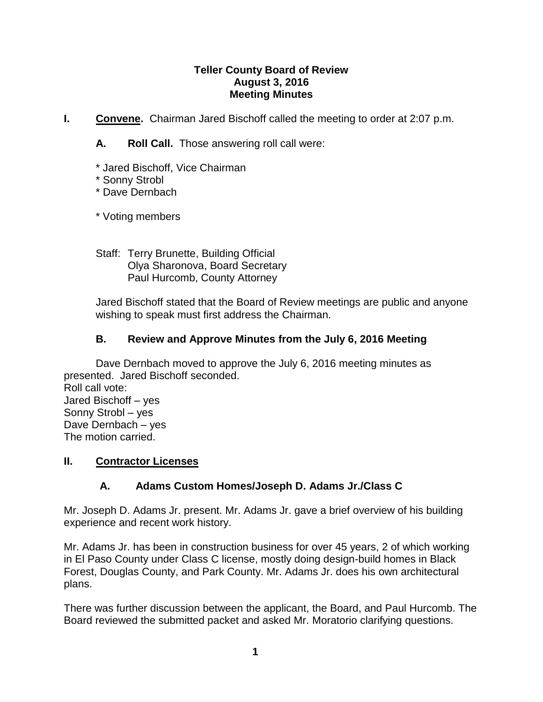### **Teller County Board of Review August 3, 2016 Meeting Minutes**

- **I. Convene.** Chairman Jared Bischoff called the meeting to order at 2:07 p.m.
	- **A. Roll Call.** Those answering roll call were:
	- \* Jared Bischoff, Vice Chairman
	- \* Sonny Strobl
	- \* Dave Dernbach

\* Voting members

Staff: Terry Brunette, Building Official Olya Sharonova, Board Secretary Paul Hurcomb, County Attorney

Jared Bischoff stated that the Board of Review meetings are public and anyone wishing to speak must first address the Chairman.

# **B. Review and Approve Minutes from the July 6, 2016 Meeting**

Dave Dernbach moved to approve the July 6, 2016 meeting minutes as presented. Jared Bischoff seconded. Roll call vote: Jared Bischoff – yes Sonny Strobl – yes Dave Dernbach – yes The motion carried.

#### **II. Contractor Licenses**

# **A. Adams Custom Homes/Joseph D. Adams Jr./Class C**

Mr. Joseph D. Adams Jr. present. Mr. Adams Jr. gave a brief overview of his building experience and recent work history.

Mr. Adams Jr. has been in construction business for over 45 years, 2 of which working in El Paso County under Class C license, mostly doing design-build homes in Black Forest, Douglas County, and Park County. Mr. Adams Jr. does his own architectural plans.

There was further discussion between the applicant, the Board, and Paul Hurcomb. The Board reviewed the submitted packet and asked Mr. Moratorio clarifying questions.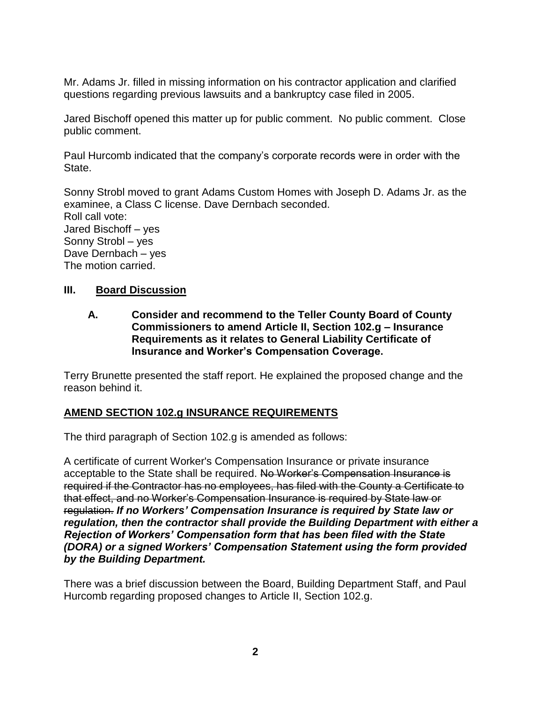Mr. Adams Jr. filled in missing information on his contractor application and clarified questions regarding previous lawsuits and a bankruptcy case filed in 2005.

Jared Bischoff opened this matter up for public comment. No public comment. Close public comment.

Paul Hurcomb indicated that the company's corporate records were in order with the State.

Sonny Strobl moved to grant Adams Custom Homes with Joseph D. Adams Jr. as the examinee, a Class C license. Dave Dernbach seconded. Roll call vote: Jared Bischoff – yes Sonny Strobl – yes Dave Dernbach – yes The motion carried.

### **III. Board Discussion**

**A. Consider and recommend to the Teller County Board of County Commissioners to amend Article II, Section 102.g – Insurance Requirements as it relates to General Liability Certificate of Insurance and Worker's Compensation Coverage.**

Terry Brunette presented the staff report. He explained the proposed change and the reason behind it.

# **AMEND SECTION 102.g INSURANCE REQUIREMENTS**

The third paragraph of Section 102.g is amended as follows:

A certificate of current Worker's Compensation Insurance or private insurance acceptable to the State shall be required. No Worker's Compensation Insurance is required if the Contractor has no employees, has filed with the County a Certificate to that effect, and no Worker's Compensation Insurance is required by State law or regulation. *If no Workers' Compensation Insurance is required by State law or regulation, then the contractor shall provide the Building Department with either a Rejection of Workers' Compensation form that has been filed with the State (DORA) or a signed Workers' Compensation Statement using the form provided by the Building Department.*

There was a brief discussion between the Board, Building Department Staff, and Paul Hurcomb regarding proposed changes to Article II, Section 102.g.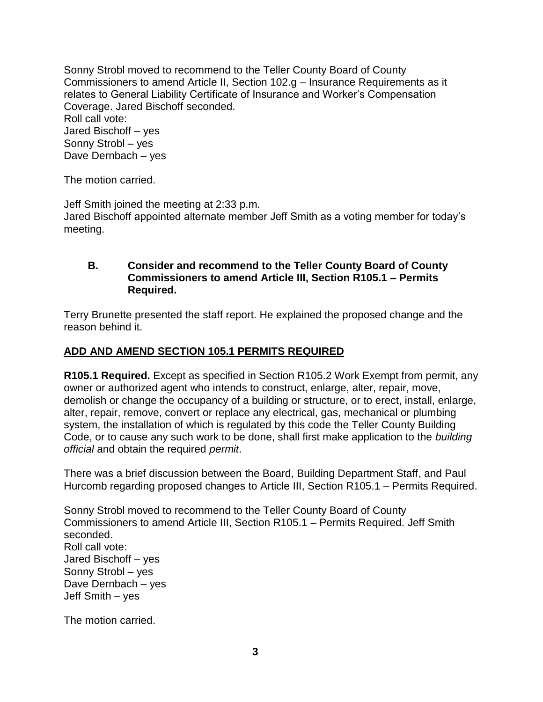Sonny Strobl moved to recommend to the Teller County Board of County Commissioners to amend Article II, Section 102.g – Insurance Requirements as it relates to General Liability Certificate of Insurance and Worker's Compensation Coverage. Jared Bischoff seconded. Roll call vote: Jared Bischoff – yes Sonny Strobl – yes Dave Dernbach – yes

The motion carried.

Jeff Smith joined the meeting at 2:33 p.m. Jared Bischoff appointed alternate member Jeff Smith as a voting member for today's meeting.

#### **B. Consider and recommend to the Teller County Board of County Commissioners to amend Article III, Section R105.1 – Permits Required.**

Terry Brunette presented the staff report. He explained the proposed change and the reason behind it.

# **ADD AND AMEND SECTION 105.1 PERMITS REQUIRED**

**R105.1 Required.** Except as specified in Section R105.2 Work Exempt from permit, any owner or authorized agent who intends to construct, enlarge, alter, repair, move, demolish or change the occupancy of a building or structure, or to erect, install, enlarge, alter, repair, remove, convert or replace any electrical, gas, mechanical or plumbing system, the installation of which is regulated by this code the Teller County Building Code, or to cause any such work to be done, shall first make application to the *building official* and obtain the required *permit*.

There was a brief discussion between the Board, Building Department Staff, and Paul Hurcomb regarding proposed changes to Article III, Section R105.1 – Permits Required.

Sonny Strobl moved to recommend to the Teller County Board of County Commissioners to amend Article III, Section R105.1 – Permits Required. Jeff Smith seconded. Roll call vote: Jared Bischoff – yes Sonny Strobl – yes Dave Dernbach – yes Jeff Smith – yes

The motion carried.